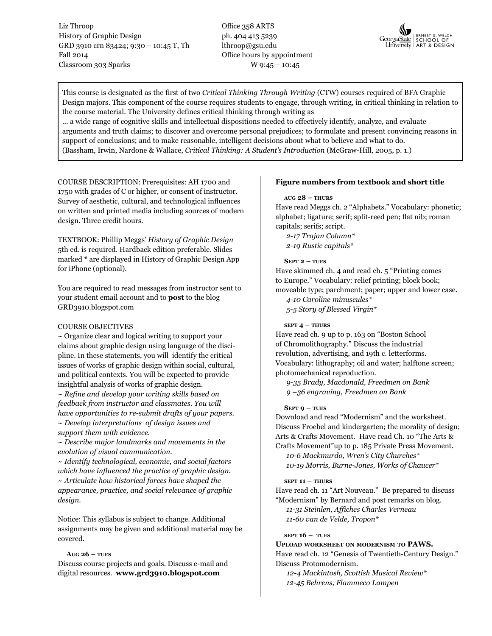Liz Throop History of Graphic Design GRD 3910 crn 83424; 9:30 – 10:45 T, Th Fall 2014 Classroom 303 Sparks

Office 358 ARTS ph. 404 413 5239 lthroop@gsu.edu Office hours by appointment W 9:45 – 10:45



This course is designated as the first of two *Critical Thinking Through Writing* (CTW) courses required of BFA Graphic Design majors. This component of the course requires students to engage, through writing, in critical thinking in relation to the course material. The University defines critical thinking through writing as

… a wide range of cognitive skills and intellectual dispositions needed to effectively identify, analyze, and evaluate arguments and truth claims; to discover and overcome personal prejudices; to formulate and present convincing reasons in support of conclusions; and to make reasonable, intelligent decisions about what to believe and what to do. (Bassham, Irwin, Nardone & Wallace, *Critical Thinking: A Student's Introduction* (McGraw-Hill, 2005, p. 1.)

COURSE DESCRIPTION: Prerequisites: AH 1700 and 1750 with grades of C or higher, or consent of instructor. Survey of aesthetic, cultural, and technological influences on written and printed media including sources of modern design. Three credit hours.

TEXTBOOK: Phillip Meggs' *History of Graphic Design* 5th ed. is required. Hardback edition preferable. Slides marked **\*** are displayed in History of Graphic Design App for iPhone (optional).

You are required to read messages from instructor sent to your student email account and to **post** to the blog GRD3910.blogspot.com

# Course Objectives

~ Organize clear and logical writing to support your claims about graphic design using language of the discipline. In these statements, you will identify the critical issues of works of graphic design within social, cultural, and political contexts. You will be expected to provide insightful analysis of works of graphic design.

*~ Refine and develop your writing skills based on feedback from instructor and classmates. You will have opportunities to re-submit drafts of your papers. ~ Develop interpretations of design issues and* 

*support them with evidence.*

*~ Describe major landmarks and movements in the evolution of visual communication.*

*~ Identify technological, economic, and social factors which have influenced the practice of graphic design. ~ Articulate how historical forces have shaped the appearance, practice, and social relevance of graphic design.*

Notice: This syllabus is subject to change. Additional assignments may be given and additional material may be covered.

# **Aug 26 – tues**

Discuss course projects and goals. Discuss e-mail and digital resources. **www.grd3910.blogspot.com** 

# **Figure numbers from textbook and short title**

## **aug 28 – thurs**

Have read Meggs ch. 2 "Alphabets." Vocabulary: phonetic; alphabet; ligature; serif; split-reed pen; flat nib; roman capitals; serifs; script.

*2-17 Trajan Column\* 2-19 Rustic capitals\**

# **Sept 2 – tues**

Have skimmed ch. 4 and read ch. 5 "Printing comes to Europe." Vocabulary: relief printing; block book; moveable type; parchment; paper; upper and lower case.

*4-10 Caroline minuscules\**

*5-5 Story of Blessed Virgin\** 

# **sept 4 – thurs**

Have read ch. 9 up to p. 163 on "Boston School of Chromolithography." Discuss the industrial revolution, advertising, and 19th c. letterforms. Vocabulary: lithography; oil and water; halftone screen; photomechanical reproduction.

*9-35 Brady, Macdonald, Freedmen on Bank 9 –36 engraving, Freedmen on Bank*

# **SEPT 9 – TUES**

Download and read "Modernism" and the worksheet. Discuss Froebel and kindergarten; the morality of design; Arts & Crafts Movement. Have read Ch. 10 "The Arts & Crafts Movement"up to p. 185 Private Press Movement.

*10-6 Mackmurdo, Wren's City Churches\* 10-19 Morris, Burne-Jones, Works of Chaucer\**

#### **sept 11 – thurs**

Have read ch. 11 "Art Nouveau." Be prepared to discuss "Modernism" by Bernard and post remarks on blog. *11-31 Steinlen, Affiches Charles Verneau 11-60 van de Velde, Tropon\** 

# **sept 16 – tues**

# **Upload worksheet on modernism to PAWS.**  Have read ch. 12 "Genesis of Twentieth-Century Design." Discuss Protomodernism.

*12-4 Mackintosh, Scottish Musical Review\* 12-45 Behrens, Flammeco Lampen*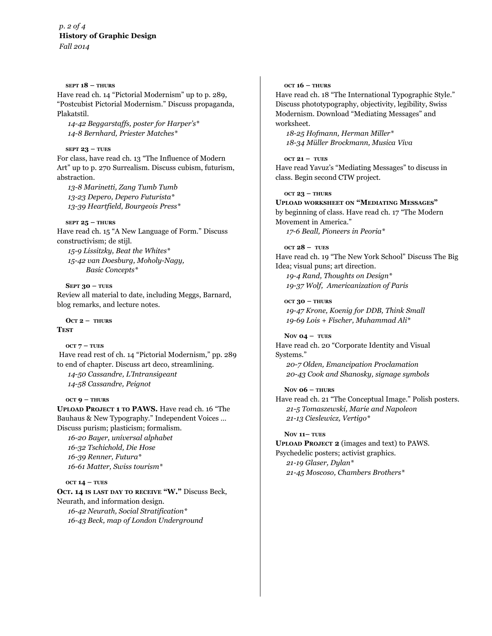*p. 2 of 4* **History of Graphic Design**  *Fall 2014*

**sept 18 – thurs**

Have read ch. 14 "Pictorial Modernism" up to p. 289, "Postcubist Pictorial Modernism." Discuss propaganda, Plakatstil.

*14-42 Beggarstaffs, poster for Harper's\* 14-8 Bernhard, Priester Matches\**

### **sept 23 – tues**

For class, have read ch. 13 "The Influence of Modern Art" up to p. 270 Surrealism. Discuss cubism, futurism, abstraction.

*13-8 Marinetti, Zang Tumb Tumb 13-23 Depero, Depero Futurista\* 13-39 Heartfield, Bourgeois Press\**

## **sept 25 – thurs**

Have read ch. 15 "A New Language of Form." Discuss constructivism; de stijl.

*15-9 Lissitzky, Beat the Whites\* 15-42 van Doesburg, Moholy-Nagy, Basic Concepts\**

#### **Sept 30 – tues**

Review all material to date, including Meggs, Barnard, blog remarks, and lecture notes.

 $OCT 2 - THURS$ **Test**

**oct 7 – tues** Have read rest of ch. 14 "Pictorial Modernism," pp. 289 to end of chapter. Discuss art deco, streamlining. *14-50 Cassandre, L'Intransigeant 14-58 Cassandre, Peignot* 

#### **oct 9 – thurs**

**Upload Project 1 to PAWS.** Have read ch. 16 "The Bauhaus & New Typography." Independent Voices … Discuss purism; plasticism; formalism. *16-20 Bayer, universal alphabet*

*16-32 Tschichold, Die Hose 16-39 Renner, Futura\* 16-61 Matter, Swiss tourism\**

#### **oct 14 – tues**

**Oct. 14 is last day to receive "W."** Discuss Beck, Neurath, and information design. *16-42 Neurath, Social Stratification\* 16-43 Beck, map of London Underground*

#### **oct 16 – Thurs**

Have read ch. 18 "The International Typographic Style." Discuss phototypography, objectivity, legibility, Swiss Modernism. Download "Mediating Messages" and worksheet.

*18-25 Hofmann, Herman Miller\* 18-34 Müller Brockmann, Musica Viva* 

#### **oct 21 – tues**

Have read Yavuz's "Mediating Messages" to discuss in class. Begin second CTW project.

#### **oct 23 – thurs**

**Upload worksheet on "Mediating Messages"** by beginning of class. Have read ch. 17 "The Modern Movement in America." *17-6 Beall, Pioneers in Peoria\**

#### **oct 28 – tues**

Have read ch. 19 "The New York School" Discuss The Big Idea; visual puns; art direction.

*19-4 Rand, Thoughts on Design\* 19-37 Wolf, Americanization of Paris* 

**oct 30 – thurs** *19-47 Krone, Koenig for DDB, Think Small 19-69 Lois + Fischer, Muhammad Ali\**

**Nov 04 – tues** Have read ch. 20 "Corporate Identity and Visual Systems." *20-7 Olden, Emancipation Proclamation*

*20-43 Cook and Shanosky, signage symbols*

#### **Nov 06 – thurs**

Have read ch. 21 "The Conceptual Image." Polish posters. *21-5 Tomaszewski, Marie and Napoleon 21-13 Cieslewicz, Vertigo\**

## **Nov 11– tues**

**Upload Project 2** (images and text) to PAWS. Psychedelic posters; activist graphics. *21-19 Glaser, Dylan\* 21-45 Moscoso, Chambers Brothers\**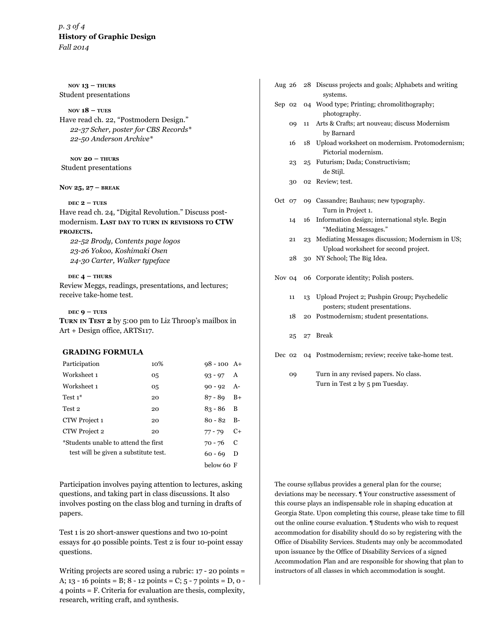# *p. 3 of 4* **History of Graphic Design** *Fall 2014*

**nov 13 – thurs** Student presentations

## **nov 18 – tues**

Have read ch. 22, "Postmodern Design." *22-37 Scher, poster for CBS Records\* 22-50 Anderson Archive\**

**nov 20 – thurs** Student presentations

**Nov 25, 27 – break**

#### $\text{DEC 2}$  –  $\text{TUES}$

Have read ch. 24, "Digital Revolution." Discuss postmodernism. **Last day to turn in revisions to CTW projects.** 

*22-52 Brody, Contents page logos 23-26 Yokoo, Koshimaki Osen 24-30 Carter, Walker typeface*

## **dec 4 – thurs**

Review Meggs, readings, presentations, and lectures; receive take-home test.

#### $\text{DEC }$ **9 – TUES**

**Turn in Test 2** by 5:00 pm to Liz Throop's mailbox in Art + Design office, ARTS117.

## **GRADING FORMULA**

| Participation                                    | 10%         | $98 - 100$ A+ |   |
|--------------------------------------------------|-------------|---------------|---|
| Worksheet 1                                      | 05          | $93 - 97$ A   |   |
| Worksheet 1                                      | 05          | $90 - 92$ A-  |   |
| Test $1^*$                                       | 20          | $87 - 89$ B+  |   |
| Test 2                                           | 20          | $83 - 86$ B   |   |
| CTW Project 1                                    | 20          | $80 - 82$ B-  |   |
| CTW Project 2                                    | 20          | $77 - 79$ C+  |   |
| *Students unable to attend the first             | $70 - 76$ C |               |   |
| test will be given a substitute test.<br>60 - 69 |             |               | D |
|                                                  |             | below 60 F    |   |

Participation involves paying attention to lectures, asking questions, and taking part in class discussions. It also involves posting on the class blog and turning in drafts of papers.

Test 1 is 20 short-answer questions and two 10-point essays for 40 possible points. Test 2 is four 10-point essay questions.

Writing projects are scored using a rubric: 17 - 20 points = A;  $13 - 16$  points = B;  $8 - 12$  points = C;  $5 - 7$  points = D, o -4 points = F. Criteria for evaluation are thesis, complexity, research, writing craft, and synthesis.

| Aug $26$ |    |    | 28 Discuss projects and goals; Alphabets and writing<br>systems.                        |
|----------|----|----|-----------------------------------------------------------------------------------------|
| Sep 02   |    |    | 04 Wood type; Printing; chromolithography;<br>photography.                              |
|          | 09 | 11 | Arts & Crafts; art nouveau; discuss Modernism<br>by Barnard                             |
|          | 16 | 18 | Upload worksheet on modernism. Protomodernism;<br>Pictorial modernism.                  |
|          | 23 | 25 | Futurism; Dada; Constructivism;<br>de Stijl.                                            |
|          | 30 |    | 02 Review; test.                                                                        |
| Oct 07   |    |    | 09 Cassandre; Bauhaus; new typography.<br>Turn in Project 1.                            |
|          | 14 | 16 | Information design; international style. Begin<br>"Mediating Messages."                 |
|          | 21 | 23 | Mediating Messages discussion; Modernism in US;<br>Upload worksheet for second project. |
|          | 28 |    | 30 NY School; The Big Idea.                                                             |
| Nov 04   |    | 06 | Corporate identity; Polish posters.                                                     |
|          | 11 | 13 | Upload Project 2; Pushpin Group; Psychedelic<br>posters; student presentations.         |
|          | 18 | 20 | Postmodernism; student presentations.                                                   |
|          | 25 | 27 | <b>Break</b>                                                                            |
| Dec 02   |    |    | 04 Postmodernism; review; receive take-home test.                                       |
|          | 09 |    | Turn in any revised papers. No class.<br>Turn in Test 2 by 5 pm Tuesday.                |

The course syllabus provides a general plan for the course; deviations may be necessary. ¶ Your constructive assessment of this course plays an indispensable role in shaping education at Georgia State. Upon completing this course, please take time to fill out the online course evaluation. ¶ Students who wish to request accommodation for disability should do so by registering with the Office of Disability Services. Students may only be accommodated upon issuance by the Office of Disability Services of a signed Accommodation Plan and are responsible for showing that plan to instructors of all classes in which accommodation is sought.